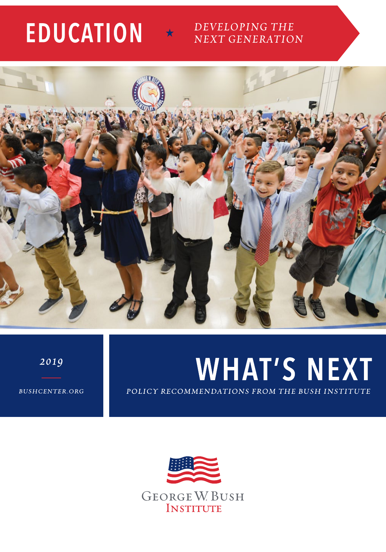# **EDUCATION**

#### DEVELOPING THE **NEXT GENERATION**



2019

**WHAT'S NEXT** POLICY RECOMMENDATIONS FROM THE BUSH INSTITUTE

**BUSHCENTER.ORG** 

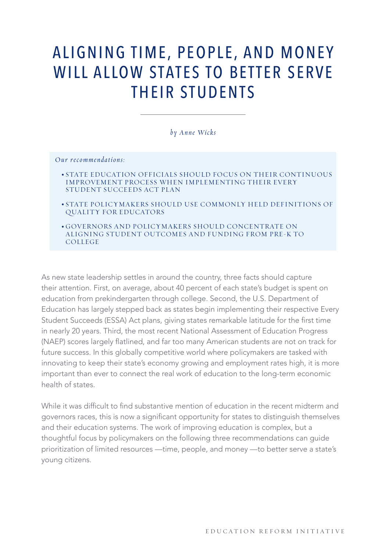## ALIGNING TIME, PEOPLE, AND MONEY WILL ALLOW STATES TO BETTER SERVE THEIR STUDENTS

*by Anne Wicks*

*Our recommendations:*

- STATE EDUCATION OFFICIALS SHOULD FOCUS ON THEIR CONTINUOUS IMPROVEMENT PROCESS WHEN IMPLEMENTING THEIR EVERY STUDENT SUCCEEDS ACT PLAN
- STATE POLICYMAKERS SHOULD USE COMMONLY HELD DEFINITIONS OF QUALITY FOR EDUCATORS

• GOVERNORS AND POLICYMAKERS SHOULD CONCENTRATE ON ALIGNING STUDENT OUTCOMES AND FUNDING FROM PRE-K TO COLLEGE

As new state leadership settles in around the country, three facts should capture their attention. First, on average, about 40 percent of each state's budget is spent on education from prekindergarten through college. Second, the U.S. Department of Education has largely stepped back as states begin implementing their respective Every Student Succeeds (ESSA) Act plans, giving states remarkable latitude for the frst time in nearly 20 years. Third, the most recent National Assessment of Education Progress (NAEP) scores largely fatlined, and far too many American students are not on track for future success. In this globally competitive world where policymakers are tasked with innovating to keep their state's economy growing and employment rates high, it is more important than ever to connect the real work of education to the long-term economic health of states.

While it was difficult to find substantive mention of education in the recent midterm and governors races, this is now a signifcant opportunity for states to distinguish themselves and their education systems. The work of improving education is complex, but a thoughtful focus by policymakers on the following three recommendations can guide prioritization of limited resources —time, people, and money —to better serve a state's young citizens.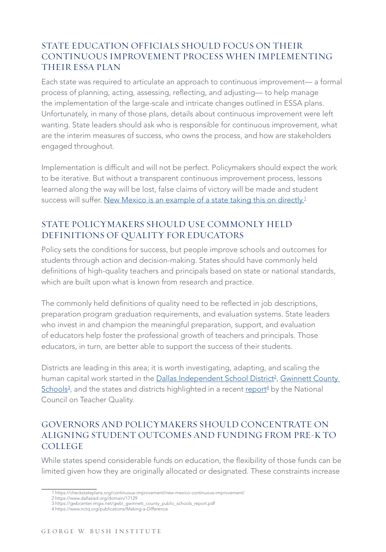#### STATE EDUCATION OFFICIALS SHOULD FOCUS ON THEIR CONTINUOUS IMPROVEMENT PROCESS WHEN IMPLEMENTING THEIR ESSA PLAN

Each state was required to articulate an approach to continuous improvement— a formal process of planning, acting, assessing, refecting, and adjusting— to help manage the implementation of the large-scale and intricate changes outlined in ESSA plans. Unfortunately, in many of those plans, details about continuous improvement were left wanting. State leaders should ask who is responsible for continuous improvement, what are the interim measures of success, who owns the process, and how are stakeholders engaged throughout.

Implementation is diffcult and will not be perfect. Policymakers should expect the work to be iterative. But without a transparent continuous improvement process, lessons learned along the way will be lost, false claims of victory will be made and student success will suffer. New Mexico is an example of a state taking this on directly.<sup>1</sup>

#### STATE POLICYMAKERS SHOULD USE COMMONLY HELD DEFINITIONS OF QUALITY FOR EDUCATORS

Policy sets the conditions for success, but people improve schools and outcomes for students through action and decision-making. States should have commonly held defnitions of high-quality teachers and principals based on state or national standards, which are built upon what is known from research and practice.

The commonly held definitions of quality need to be reflected in job descriptions, preparation program graduation requirements, and evaluation systems. State leaders who invest in and champion the meaningful preparation, support, and evaluation of educators help foster the professional growth of teachers and principals. Those educators, in turn, are better able to support the success of their students.

Districts are leading in this area; it is worth investigating, adapting, and scaling the human capital work started in the <u>Dallas Independent School District<sup>2</sup>, Gwinnett County</u> <u>[Schools](https://gwbcenter.imgix.net/gwbi_gwinnett_county_public_schools_report.pdf)3,</u> and the states and districts highlighted in a recent <u>[report](https://www.nctq.org/publications/Making-a-Difference)4</u> by the National Council on Teacher Quality.

#### GOVERNORS AND POLICYMAKERS SHOULD CONCENTRATE ON ALIGNING STUDENT OUTCOMES AND FUNDING FROM PRE-K TO COLLEGE

While states spend considerable funds on education, the fexibility of those funds can be limited given how they are originally allocated or designated. These constraints increase

<sup>1</sup> https://checkstateplans.org/continuous-improvement/new-mexico-continuous-improvement/

<sup>2</sup> https://www.dallasisd.org/domain/17129

<sup>3</sup> https://gwbcenter.imgix.net/gwbi\_gwinnett\_county\_public\_schools\_report.pdf 4 https://www.nctq.org/publications/Making-a-Difference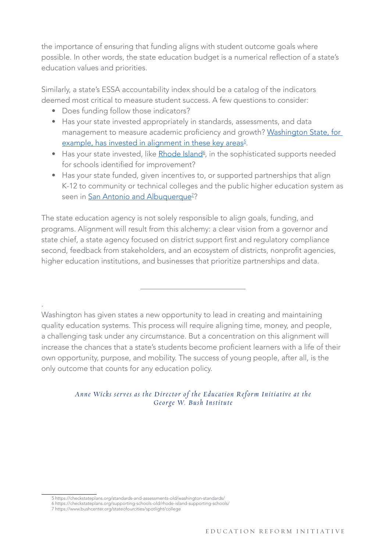the importance of ensuring that funding aligns with student outcome goals where possible. In other words, the state education budget is a numerical refection of a state's education values and priorities.

Similarly, a state's ESSA accountability index should be a catalog of the indicators deemed most critical to measure student success. A few questions to consider:

- Does funding follow those indicators?
- Has your state invested appropriately in standards, assessments, and data management to measure academic proficiency and growth? Washington State, for [example, has invested in alignment in these key areas](https://checkstateplans.org/standards-and-assessments-old/washington-standards/)<sup>5</sup>.
- $\bullet$  Has your state invested, like  $\mathsf{Rhode}$  Island $\mathsf{A}$ , in the sophisticated supports needed for schools identifed for improvement?
- Has your state funded, given incentives to, or supported partnerships that align K-12 to community or technical colleges and the public higher education system as seen in <u>San Antonio and Albuquerque<sup>z</sup>?</u>

The state education agency is not solely responsible to align goals, funding, and programs. Alignment will result from this alchemy: a clear vision from a governor and state chief, a state agency focused on district support first and regulatory compliance second, feedback from stakeholders, and an ecosystem of districts, nonproft agencies, higher education institutions, and businesses that prioritize partnerships and data.

Washington has given states a new opportunity to lead in creating and maintaining quality education systems. This process will require aligning time, money, and people, a challenging task under any circumstance. But a concentration on this alignment will increase the chances that a state's students become proficient learners with a life of their own opportunity, purpose, and mobility. The success of young people, after all, is the only outcome that counts for any education policy.

> Anne Wicks serves as the Director of the Education Reform Initiative at the George W. Bush Institute

.

<sup>5</sup> https://checkstateplans.org/standards-and-assessments-old/washington-standards/

<sup>6</sup> https://checkstateplans.org/supporting-schools-old/rhode-island-supporting-schools/

<sup>7</sup> https://www.bushcenter.org/stateofourcities/spotlight/college